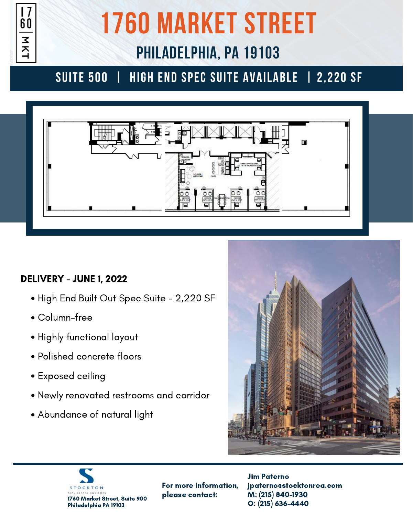

# **1760 MARKET STREET**

# **PHILADELPHIA, PA 19103**

### **suite 500 | HIGH END SPEC SUITE AVAILABLE | 2,220 SF**



#### DELIVERY - JUNE 1, 2022

- High End Built Out Spec Suite 2,220 SF
- Column-free
- Highly functional layout
- Polished concrete floors
- Exposed ceiling
- Newly renovated restrooms and corridor
- Abundance of natural light





For more information, please contact:

Jim Paterno jpaterno@stocktonrea.com M: (215) 840-1930 O: (215) 636-4440